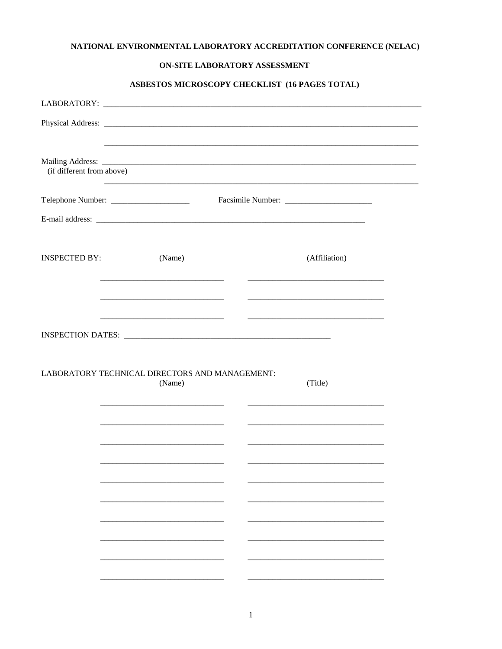## NATIONAL ENVIRONMENTAL LABORATORY ACCREDITATION CONFERENCE (NELAC)

### ON-SITE LABORATORY ASSESSMENT

## ASBESTOS MICROSCOPY CHECKLIST (16 PAGES TOTAL)

| (if different from above) |                                                          |  |                                                                   |
|---------------------------|----------------------------------------------------------|--|-------------------------------------------------------------------|
|                           |                                                          |  |                                                                   |
|                           |                                                          |  |                                                                   |
| <b>INSPECTED BY:</b>      | (Name)                                                   |  | (Affiliation)                                                     |
|                           | <u> 1980 - Jan James Barnett, fizik amerikan ba</u>      |  |                                                                   |
|                           |                                                          |  | <u> 1989 - Johann John Stone, mars eta biztanleria (h. 1989).</u> |
|                           |                                                          |  |                                                                   |
|                           |                                                          |  |                                                                   |
|                           | LABORATORY TECHNICAL DIRECTORS AND MANAGEMENT:<br>(Name) |  | (Title)                                                           |
|                           |                                                          |  |                                                                   |
|                           |                                                          |  |                                                                   |
|                           |                                                          |  |                                                                   |
|                           |                                                          |  |                                                                   |
|                           |                                                          |  |                                                                   |
|                           |                                                          |  |                                                                   |
|                           |                                                          |  |                                                                   |
|                           |                                                          |  |                                                                   |
|                           |                                                          |  |                                                                   |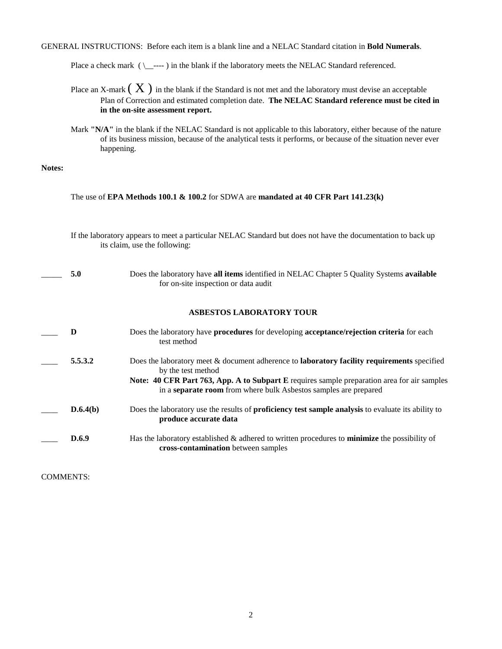GENERAL INSTRUCTIONS: Before each item is a blank line and a NELAC Standard citation in **Bold Numerals**.

Place a check mark ( \\_\_---- ) in the blank if the laboratory meets the NELAC Standard referenced.

- Place an X-mark  $(X)$  in the blank if the Standard is not met and the laboratory must devise an acceptable Plan of Correction and estimated completion date. **The NELAC Standard reference must be cited in in the on-site assessment report.**
- Mark **"N/A"** in the blank if the NELAC Standard is not applicable to this laboratory, either because of the nature of its business mission, because of the analytical tests it performs, or because of the situation never ever happening.

#### **Notes:**

The use of **EPA Methods 100.1 & 100.2** for SDWA are **mandated at 40 CFR Part 141.23(k)**

|                               | If the laboratory appears to meet a particular NELAC Standard but does not have the documentation to back up |
|-------------------------------|--------------------------------------------------------------------------------------------------------------|
| its claim, use the following: |                                                                                                              |

| 5.0 | Does the laboratory have all items identified in NELAC Chapter 5 Quality Systems available |
|-----|--------------------------------------------------------------------------------------------|
|     | for on-site inspection or data audit                                                       |

### **ASBESTOS LABORATORY TOUR**

| Ð        | Does the laboratory have <b>procedures</b> for developing <b>acceptance/rejection criteria</b> for each<br>test method                                                                                                                                                                                    |
|----------|-----------------------------------------------------------------------------------------------------------------------------------------------------------------------------------------------------------------------------------------------------------------------------------------------------------|
| 5.5.3.2  | Does the laboratory meet & document adherence to <b>laboratory facility requirements</b> specified<br>by the test method<br><b>Note: 40 CFR Part 763, App. A to Subpart E</b> requires sample preparation area for air samples<br>in a <b>separate room</b> from where bulk Asbestos samples are prepared |
| D.6.4(b) | Does the laboratory use the results of <b>proficiency test sample analysis</b> to evaluate its ability to<br>produce accurate data                                                                                                                                                                        |
| D.6.9    | Has the laboratory established & adhered to written procedures to minimize the possibility of<br>cross-contamination between samples                                                                                                                                                                      |

COMMENTS: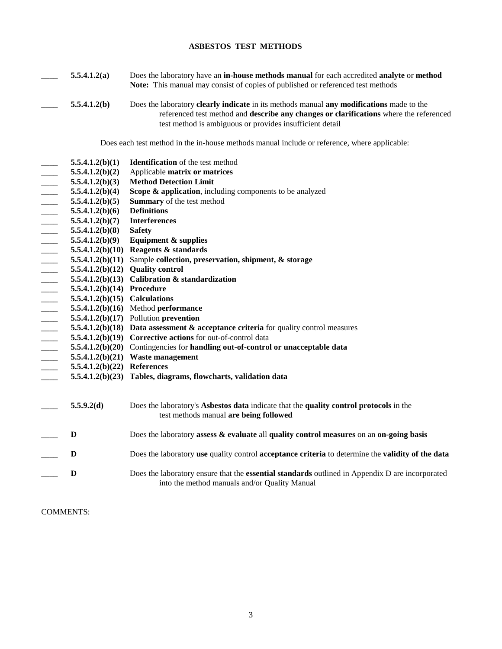### **ASBESTOS TEST METHODS**

|                          | 5.5.4.1.2(a)                    | Does the laboratory have an in-house methods manual for each accredited analyte or method<br>Note: This manual may consist of copies of published or referenced test methods                                                                   |
|--------------------------|---------------------------------|------------------------------------------------------------------------------------------------------------------------------------------------------------------------------------------------------------------------------------------------|
|                          | 5.5.4.1.2(b)                    | Does the laboratory clearly indicate in its methods manual any modifications made to the<br>referenced test method and describe any changes or clarifications where the referenced<br>test method is ambiguous or provides insufficient detail |
|                          |                                 | Does each test method in the in-house methods manual include or reference, where applicable:                                                                                                                                                   |
|                          | 5.5.4.1.2(b)(1)                 | <b>Identification</b> of the test method                                                                                                                                                                                                       |
|                          | 5.5.4.1.2(b)(2)                 | Applicable matrix or matrices                                                                                                                                                                                                                  |
|                          | 5.5.4.1.2(b)(3)                 | <b>Method Detection Limit</b>                                                                                                                                                                                                                  |
|                          | 5.5.4.1.2(b)(4)                 | Scope & application, including components to be analyzed                                                                                                                                                                                       |
| $\frac{1}{1}$            | 5.5.4.1.2(b)(5)                 | Summary of the test method                                                                                                                                                                                                                     |
|                          | 5.5.4.1.2(b)(6)                 | <b>Definitions</b>                                                                                                                                                                                                                             |
|                          | 5.5.4.1.2(b)(7)                 | <b>Interferences</b>                                                                                                                                                                                                                           |
|                          | 5.5.4.1.2(b)(8)                 | <b>Safety</b>                                                                                                                                                                                                                                  |
|                          | 5.5.4.1.2(b)(9)                 | <b>Equipment &amp; supplies</b>                                                                                                                                                                                                                |
| $\overline{a}$           |                                 | 5.5.4.1.2(b)(10) Reagents $&$ standards                                                                                                                                                                                                        |
|                          |                                 | 5.5.4.1.2(b)(11) Sample collection, preservation, shipment, & storage                                                                                                                                                                          |
|                          |                                 | $5.5.4.1.2(b)(12)$ Quality control                                                                                                                                                                                                             |
| $\overline{\phantom{a}}$ |                                 | 5.5.4.1.2(b)(13) Calibration & standardization                                                                                                                                                                                                 |
| $\overline{\phantom{a}}$ | 5.5.4.1.2(b)(14) Procedure      |                                                                                                                                                                                                                                                |
|                          | $5.5.4.1.2(b)(15)$ Calculations |                                                                                                                                                                                                                                                |
|                          |                                 | $5.5.4.1.2(b)(16)$ Method performance                                                                                                                                                                                                          |
|                          |                                 | $5.5.4.1.2(b)(17)$ Pollution prevention                                                                                                                                                                                                        |
|                          |                                 | 5.5.4.1.2(b)(18) Data assessment $\&$ acceptance criteria for quality control measures                                                                                                                                                         |
|                          |                                 | 5.5.4.1.2(b)(19) Corrective actions for out-of-control data                                                                                                                                                                                    |
|                          |                                 | 5.5.4.1.2(b)(20) Contingencies for handling out-of-control or unacceptable data                                                                                                                                                                |
|                          |                                 | $5.5.4.1.2(b)(21)$ Waste management                                                                                                                                                                                                            |
|                          | 5.5.4.1.2(b)(22) References     |                                                                                                                                                                                                                                                |
|                          |                                 | 5.5.4.1.2(b)(23) Tables, diagrams, flowcharts, validation data                                                                                                                                                                                 |
|                          | 5.5.9.2(d)                      | Does the laboratory's Asbestos data indicate that the quality control protocols in the<br>test methods manual are being followed                                                                                                               |
|                          | D                               | Does the laboratory assess $\&$ evaluate all quality control measures on an on-going basis                                                                                                                                                     |
|                          | D                               | Does the laboratory use quality control acceptance criteria to determine the validity of the data                                                                                                                                              |
|                          | D                               | Does the laboratory ensure that the <b>essential standards</b> outlined in Appendix D are incorporated<br>into the method manuals and/or Quality Manual                                                                                        |

COMMENTS: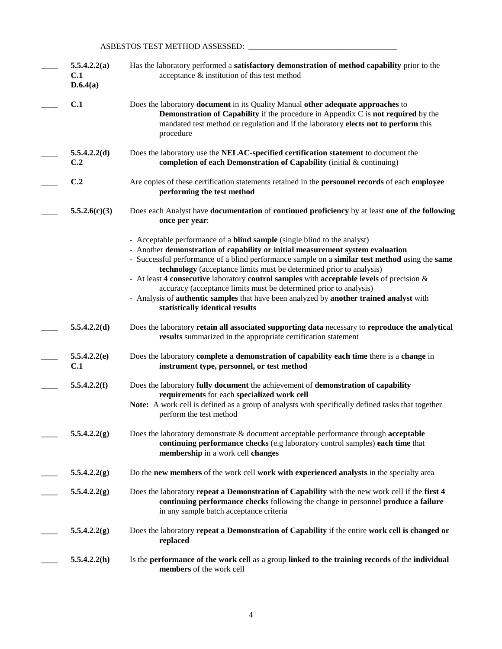## ASBESTOS TEST METHOD ASSESSED: \_\_\_\_\_\_\_\_\_\_\_\_\_\_\_\_\_\_\_\_\_\_\_\_\_\_\_\_\_\_\_\_\_\_\_\_

| 5.5.4.2.2(a)<br>C.1<br>D.6.4(a) | Has the laboratory performed a satisfactory demonstration of method capability prior to the<br>acceptance & institution of this test method                                                                                                                                                                                                                                                                                                                                                                                                                                                                                                   |
|---------------------------------|-----------------------------------------------------------------------------------------------------------------------------------------------------------------------------------------------------------------------------------------------------------------------------------------------------------------------------------------------------------------------------------------------------------------------------------------------------------------------------------------------------------------------------------------------------------------------------------------------------------------------------------------------|
| C.1                             | Does the laboratory document in its Quality Manual other adequate approaches to<br><b>Demonstration of Capability</b> if the procedure in Appendix C is <b>not required</b> by the<br>mandated test method or regulation and if the laboratory elects not to perform this<br>procedure                                                                                                                                                                                                                                                                                                                                                        |
| 5.5.4.2.2(d)<br>C.2             | Does the laboratory use the NELAC-specified certification statement to document the<br>completion of each Demonstration of Capability (initial & continuing)                                                                                                                                                                                                                                                                                                                                                                                                                                                                                  |
| C.2                             | Are copies of these certification statements retained in the personnel records of each employee<br>performing the test method                                                                                                                                                                                                                                                                                                                                                                                                                                                                                                                 |
| 5.5.2.6(c)(3)                   | Does each Analyst have documentation of continued proficiency by at least one of the following<br>once per year:                                                                                                                                                                                                                                                                                                                                                                                                                                                                                                                              |
|                                 | - Acceptable performance of a <b>blind sample</b> (single blind to the analyst)<br>- Another demonstration of capability or initial measurement system evaluation<br>- Successful performance of a blind performance sample on a similar test method using the same<br>technology (acceptance limits must be determined prior to analysis)<br>- At least 4 consecutive laboratory control samples with acceptable levels of precision $\&$<br>accuracy (acceptance limits must be determined prior to analysis)<br>- Analysis of authentic samples that have been analyzed by another trained analyst with<br>statistically identical results |
| 5.5.4.2.2(d)                    | Does the laboratory retain all associated supporting data necessary to reproduce the analytical<br>results summarized in the appropriate certification statement                                                                                                                                                                                                                                                                                                                                                                                                                                                                              |
| 5.5.4.2.2(e)<br>C.1             | Does the laboratory complete a demonstration of capability each time there is a change in<br>instrument type, personnel, or test method                                                                                                                                                                                                                                                                                                                                                                                                                                                                                                       |
| 5.5.4.2.2(f)                    | Does the laboratory fully document the achievement of demonstration of capability<br>requirements for each specialized work cell<br>Note: A work cell is defined as a group of analysts with specifically defined tasks that together<br>perform the test method                                                                                                                                                                                                                                                                                                                                                                              |
| 5.5.4.2.2(g)                    | Does the laboratory demonstrate & document acceptable performance through acceptable<br>continuing performance checks (e.g laboratory control samples) each time that<br>membership in a work cell changes                                                                                                                                                                                                                                                                                                                                                                                                                                    |
| 5.5.4.2.2(g)                    | Do the new members of the work cell work with experienced analysts in the specialty area                                                                                                                                                                                                                                                                                                                                                                                                                                                                                                                                                      |
| 5.5.4.2.2(g)                    | Does the laboratory repeat a Demonstration of Capability with the new work cell if the first 4<br>continuing performance checks following the change in personnel produce a failure<br>in any sample batch acceptance criteria                                                                                                                                                                                                                                                                                                                                                                                                                |
| 5.5.4.2.2(g)                    | Does the laboratory repeat a Demonstration of Capability if the entire work cell is changed or<br>replaced                                                                                                                                                                                                                                                                                                                                                                                                                                                                                                                                    |
| 5.5.4.2.2(h)                    | Is the performance of the work cell as a group linked to the training records of the individual<br>members of the work cell                                                                                                                                                                                                                                                                                                                                                                                                                                                                                                                   |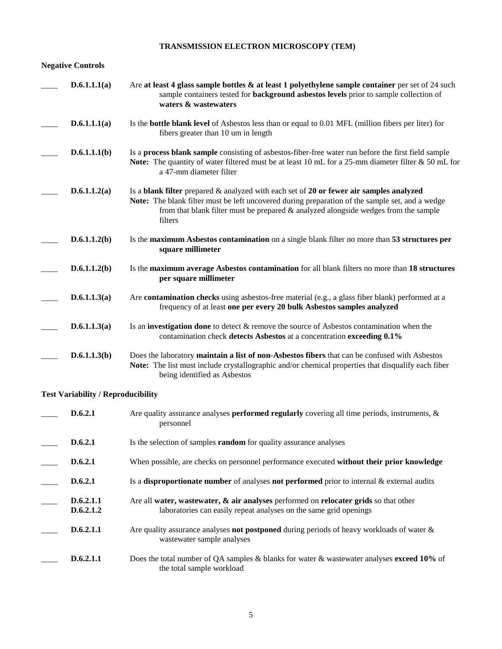# **TRANSMISSION ELECTRON MICROSCOPY (TEM)**

## **Negative Controls**

| D.6.1.1.1(a) | Are at least 4 glass sample bottles $\&$ at least 1 polyethylene sample container per set of 24 such<br>sample containers tested for <b>background asbestos levels</b> prior to sample collection of<br>waters & wastewaters                                                                       |
|--------------|----------------------------------------------------------------------------------------------------------------------------------------------------------------------------------------------------------------------------------------------------------------------------------------------------|
| D.6.1.1.1(a) | Is the <b>bottle blank level</b> of Asbestos less than or equal to 0.01 MFL (million fibers per liter) for<br>fibers greater than 10 um in length                                                                                                                                                  |
| D.6.1.1.1(b) | Is a process blank sample consisting of asbestos-fiber-free water run before the first field sample<br>Note: The quantity of water filtered must be at least 10 mL for a 25-mm diameter filter & 50 mL for<br>a 47-mm diameter filter                                                              |
| D.6.1.1.2(a) | Is a blank filter prepared $\&$ analyzed with each set of 20 or fewer air samples analyzed<br>Note: The blank filter must be left uncovered during preparation of the sample set, and a wedge<br>from that blank filter must be prepared $\&$ analyzed alongside wedges from the sample<br>filters |
| D.6.1.1.2(b) | Is the maximum Asbestos contamination on a single blank filter no more than 53 structures per<br>square millimeter                                                                                                                                                                                 |
| D.6.1.1.2(b) | Is the maximum average Asbestos contamination for all blank filters no more than 18 structures<br>per square millimeter                                                                                                                                                                            |
| D.6.1.1.3(a) | Are <b>contamination checks</b> using asbestos-free material (e.g., a glass fiber blank) performed at a<br>frequency of at least one per every 20 bulk Asbestos samples analyzed                                                                                                                   |
| D.6.1.1.3(a) | Is an <b>investigation done</b> to detect $\&$ remove the source of Asbestos contamination when the<br>contamination check detects Asbestos at a concentration exceeding 0.1%                                                                                                                      |
| D.6.1.1.3(b) | Does the laboratory maintain a list of non-Asbestos fibers that can be confused with Asbestos<br>Note: The list must include crystallographic and/or chemical properties that disqualify each fiber<br>being identified as Asbestos                                                                |

# **Test Variability / Reproducibility**

| D.6.2.1                | Are quality assurance analyses <b>performed regularly</b> covering all time periods, instruments, $\&$<br>personnel                                           |
|------------------------|---------------------------------------------------------------------------------------------------------------------------------------------------------------|
| D.6.2.1                | Is the selection of samples <b>random</b> for quality assurance analyses                                                                                      |
| D.6.2.1                | When possible, are checks on personnel performance executed without their prior knowledge                                                                     |
| D.6.2.1                | Is a disproportionate number of analyses not performed prior to internal & external audits                                                                    |
| D.6.2.1.1<br>D.6.2.1.2 | Are all water, was tewater, $\&$ air analyses performed on relocater grids so that other<br>laboratories can easily repeat analyses on the same grid openings |
| D.6.2.1.1              | Are quality assurance analyses not postponed during periods of heavy workloads of water $\&$<br>wastewater sample analyses                                    |
| D.6.2.1.1              | Does the total number of QA samples & blanks for water & wastewater analyses <b>exceed 10%</b> of<br>the total sample workload                                |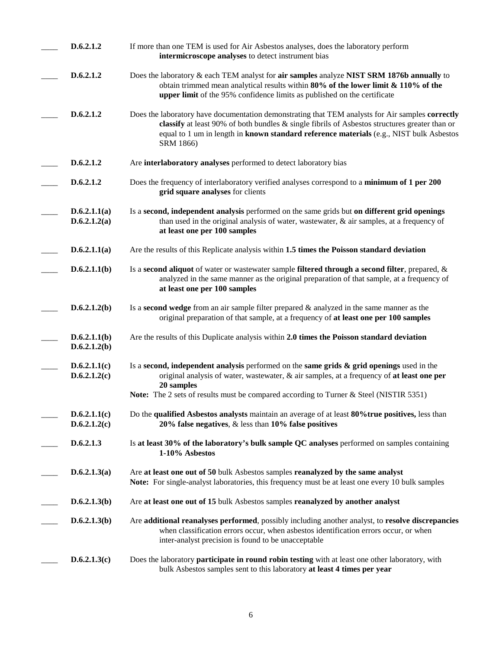| D.6.2.1.2                    | If more than one TEM is used for Air Asbestos analyses, does the laboratory perform<br>intermicroscope analyses to detect instrument bias                                                                                                                                                                 |
|------------------------------|-----------------------------------------------------------------------------------------------------------------------------------------------------------------------------------------------------------------------------------------------------------------------------------------------------------|
| D.6.2.1.2                    | Does the laboratory & each TEM analyst for air samples analyze NIST SRM 1876b annually to<br>obtain trimmed mean analytical results within $80\%$ of the lower limit & 110% of the<br>upper limit of the 95% confidence limits as published on the certificate                                            |
| D.6.2.1.2                    | Does the laboratory have documentation demonstrating that TEM analysts for Air samples correctly<br>classify at least 90% of both bundles & single fibrils of Asbestos structures greater than or<br>equal to 1 um in length in known standard reference materials (e.g., NIST bulk Asbestos<br>SRM 1866) |
| D.6.2.1.2                    | Are interlaboratory analyses performed to detect laboratory bias                                                                                                                                                                                                                                          |
| D.6.2.1.2                    | Does the frequency of interlaboratory verified analyses correspond to a minimum of 1 per 200<br>grid square analyses for clients                                                                                                                                                                          |
| D.6.2.1.1(a)<br>D.6.2.1.2(a) | Is a second, independent analysis performed on the same grids but on different grid openings<br>than used in the original analysis of water, wastewater, $\&$ air samples, at a frequency of<br>at least one per 100 samples                                                                              |
| D.6.2.1.1(a)                 | Are the results of this Replicate analysis within 1.5 times the Poisson standard deviation                                                                                                                                                                                                                |
| D.6.2.1.1(b)                 | Is a second aliquot of water or wastewater sample filtered through a second filter, prepared, $\&$<br>analyzed in the same manner as the original preparation of that sample, at a frequency of<br>at least one per 100 samples                                                                           |
| D.6.2.1.2(b)                 | Is a <b>second wedge</b> from an air sample filter prepared $\&$ analyzed in the same manner as the<br>original preparation of that sample, at a frequency of at least one per 100 samples                                                                                                                |
| D.6.2.1.1(b)<br>D.6.2.1.2(b) | Are the results of this Duplicate analysis within 2.0 times the Poisson standard deviation                                                                                                                                                                                                                |
| D.6.2.1.1(c)<br>D.6.2.1.2(c) | Is a second, independent analysis performed on the same grids $\&$ grid openings used in the<br>original analysis of water, wastewater, & air samples, at a frequency of at least one per<br>20 samples                                                                                                   |
|                              | <b>Note:</b> The 2 sets of results must be compared according to Turner & Steel (NISTIR 5351)                                                                                                                                                                                                             |
| D.6.2.1.1(c)<br>D.6.2.1.2(c) | Do the qualified Asbestos analysts maintain an average of at least 80% true positives, less than<br>20% false negatives, $\&$ less than 10% false positives                                                                                                                                               |
| D.6.2.1.3                    | Is at least 30% of the laboratory's bulk sample QC analyses performed on samples containing<br>1-10% Asbestos                                                                                                                                                                                             |
| D.6.2.1.3(a)                 | Are at least one out of 50 bulk Asbestos samples reanalyzed by the same analyst<br>Note: For single-analyst laboratories, this frequency must be at least one every 10 bulk samples                                                                                                                       |
| D.6.2.1.3(b)                 | Are at least one out of 15 bulk Asbestos samples reanalyzed by another analyst                                                                                                                                                                                                                            |
| D.6.2.1.3(b)                 | Are additional reanalyses performed, possibly including another analyst, to resolve discrepancies<br>when classification errors occur, when asbestos identification errors occur, or when<br>inter-analyst precision is found to be unacceptable                                                          |
| D.6.2.1.3(c)                 | Does the laboratory <b>participate in round robin testing</b> with at least one other laboratory, with<br>bulk Asbestos samples sent to this laboratory at least 4 times per year                                                                                                                         |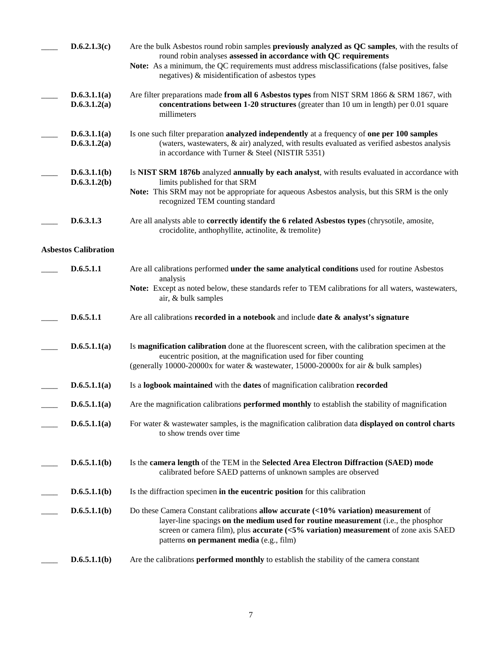| D.6.2.1.3(c)                 | Are the bulk Asbestos round robin samples previously analyzed as QC samples, with the results of<br>round robin analyses assessed in accordance with QC requirements<br>Note: As a minimum, the QC requirements must address misclassifications (false positives, false<br>negatives) & misidentification of asbestos types |
|------------------------------|-----------------------------------------------------------------------------------------------------------------------------------------------------------------------------------------------------------------------------------------------------------------------------------------------------------------------------|
| D.6.3.1.1(a)<br>D.6.3.1.2(a) | Are filter preparations made from all 6 Asbestos types from NIST SRM 1866 & SRM 1867, with<br>concentrations between 1-20 structures (greater than 10 um in length) per 0.01 square<br>millimeters                                                                                                                          |
| D.6.3.1.1(a)<br>D.6.3.1.2(a) | Is one such filter preparation analyzed independently at a frequency of one per 100 samples<br>(waters, wastewaters, & air) analyzed, with results evaluated as verified asbestos analysis<br>in accordance with Turner & Steel (NISTIR 5351)                                                                               |
| D.6.3.1.1(b)<br>D.6.3.1.2(b) | Is NIST SRM 1876b analyzed annually by each analyst, with results evaluated in accordance with<br>limits published for that SRM<br>Note: This SRM may not be appropriate for aqueous Asbestos analysis, but this SRM is the only<br>recognized TEM counting standard                                                        |
| D.6.3.1.3                    | Are all analysts able to <b>correctly identify the 6 related Asbestos types</b> (chrysotile, amosite,<br>crocidolite, anthophyllite, actinolite, & tremolite)                                                                                                                                                               |
| <b>Asbestos Calibration</b>  |                                                                                                                                                                                                                                                                                                                             |
| D.6.5.1.1                    | Are all calibrations performed under the same analytical conditions used for routine Asbestos<br>analysis                                                                                                                                                                                                                   |
|                              | Note: Except as noted below, these standards refer to TEM calibrations for all waters, wastewaters,<br>air, & bulk samples                                                                                                                                                                                                  |
| D.6.5.1.1                    | Are all calibrations recorded in a notebook and include date $\&$ analyst's signature                                                                                                                                                                                                                                       |
| D.6.5.1.1(a)                 | Is magnification calibration done at the fluorescent screen, with the calibration specimen at the<br>eucentric position, at the magnification used for fiber counting<br>(generally 10000-20000x for water & wastewater, 15000-20000x for air & bulk samples)                                                               |
| D.6.5.1.1(a)                 | Is a logbook maintained with the dates of magnification calibration recorded                                                                                                                                                                                                                                                |
| D.6.5.1.1(a)                 | Are the magnification calibrations <b>performed monthly</b> to establish the stability of magnification                                                                                                                                                                                                                     |
| D.6.5.1.1(a)                 | For water $\&$ wastewater samples, is the magnification calibration data displayed on control charts<br>to show trends over time                                                                                                                                                                                            |
| D.6.5.1.1(b)                 | Is the camera length of the TEM in the Selected Area Electron Diffraction (SAED) mode<br>calibrated before SAED patterns of unknown samples are observed                                                                                                                                                                    |
| D.6.5.1.1(b)                 | Is the diffraction specimen in the eucentric position for this calibration                                                                                                                                                                                                                                                  |
| D.6.5.1.1(b)                 | Do these Camera Constant calibrations allow accurate $($ <10% variation) measurement of<br>layer-line spacings on the medium used for routine measurement (i.e., the phosphor<br>screen or camera film), plus <b>accurate</b> $(<5\%$ variation) measurement of zone axis SAED<br>patterns on permanent media (e.g., film)  |
| D.6.5.1.1(b)                 | Are the calibrations <b>performed monthly</b> to establish the stability of the camera constant                                                                                                                                                                                                                             |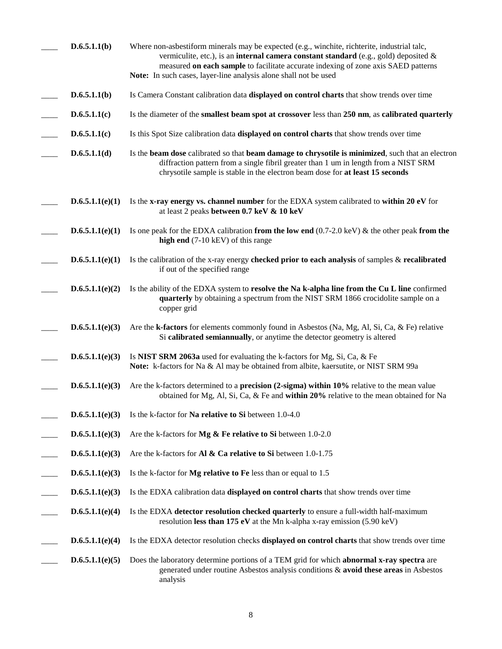| D.6.5.1.1(b)    | Where non-asbestiform minerals may be expected (e.g., winchite, richterite, industrial talc,<br>vermiculite, etc.), is an <b>internal camera constant standard</b> (e.g., gold) deposited $\&$<br>measured on each sample to facilitate accurate indexing of zone axis SAED patterns<br>Note: In such cases, layer-line analysis alone shall not be used |
|-----------------|----------------------------------------------------------------------------------------------------------------------------------------------------------------------------------------------------------------------------------------------------------------------------------------------------------------------------------------------------------|
| D.6.5.1.1(b)    | Is Camera Constant calibration data displayed on control charts that show trends over time                                                                                                                                                                                                                                                               |
| D.6.5.1.1(c)    | Is the diameter of the smallest beam spot at crossover less than 250 nm, as calibrated quarterly                                                                                                                                                                                                                                                         |
| D.6.5.1.1(c)    | Is this Spot Size calibration data displayed on control charts that show trends over time                                                                                                                                                                                                                                                                |
| D.6.5.1.1(d)    | Is the beam dose calibrated so that beam damage to chrysotile is minimized, such that an electron<br>diffraction pattern from a single fibril greater than 1 um in length from a NIST SRM<br>chrysotile sample is stable in the electron beam dose for at least 15 seconds                                                                               |
| D.6.5.1.1(e)(1) | Is the x-ray energy vs. channel number for the EDXA system calibrated to within 20 eV for<br>at least 2 peaks between 0.7 keV & 10 keV                                                                                                                                                                                                                   |
| D.6.5.1.1(e)(1) | Is one peak for the EDXA calibration from the low end $(0.7-2.0 \text{ keV})$ & the other peak from the<br>high end (7-10 kEV) of this range                                                                                                                                                                                                             |
| D.6.5.1.1(e)(1) | Is the calibration of the x-ray energy checked prior to each analysis of samples $\&$ recalibrated<br>if out of the specified range                                                                                                                                                                                                                      |
| D.6.5.1.1(e)(2) | Is the ability of the EDXA system to resolve the Na k-alpha line from the Cu L line confirmed<br>quarterly by obtaining a spectrum from the NIST SRM 1866 crocidolite sample on a<br>copper grid                                                                                                                                                         |
| D.6.5.1.1(e)(3) | Are the <b>k-factors</b> for elements commonly found in Asbestos (Na, Mg, Al, Si, Ca, & Fe) relative<br>Si calibrated semiannually, or anytime the detector geometry is altered                                                                                                                                                                          |
| D.6.5.1.1(e)(3) | Is NIST SRM 2063a used for evaluating the k-factors for Mg, Si, Ca, & Fe<br>Note: k-factors for Na & Al may be obtained from albite, kaersutite, or NIST SRM 99a                                                                                                                                                                                         |
| D.6.5.1.1(e)(3) | Are the k-factors determined to a <b>precision</b> (2-sigma) within 10% relative to the mean value<br>obtained for Mg, Al, Si, Ca, & Fe and within 20% relative to the mean obtained for Na                                                                                                                                                              |
| D.6.5.1.1(e)(3) | Is the k-factor for Na relative to Si between 1.0-4.0                                                                                                                                                                                                                                                                                                    |
| D.6.5.1.1(e)(3) | Are the k-factors for $Mg \& Fe$ relative to Si between 1.0-2.0                                                                                                                                                                                                                                                                                          |
| D.6.5.1.1(e)(3) | Are the k-factors for <b>Al &amp; Ca relative to Si</b> between 1.0-1.75                                                                                                                                                                                                                                                                                 |
| D.6.5.1.1(e)(3) | Is the k-factor for Mg relative to Fe less than or equal to 1.5                                                                                                                                                                                                                                                                                          |
| D.6.5.1.1(e)(3) | Is the EDXA calibration data <b>displayed on control charts</b> that show trends over time                                                                                                                                                                                                                                                               |
| D.6.5.1.1(e)(4) | Is the EDXA detector resolution checked quarterly to ensure a full-width half-maximum<br>resolution less than 175 eV at the Mn k-alpha x-ray emission $(5.90 \text{ keV})$                                                                                                                                                                               |
| D.6.5.1.1(e)(4) | Is the EDXA detector resolution checks displayed on control charts that show trends over time                                                                                                                                                                                                                                                            |
| D.6.5.1.1(e)(5) | Does the laboratory determine portions of a TEM grid for which <b>abnormal x-ray spectra</b> are<br>generated under routine Asbestos analysis conditions & avoid these areas in Asbestos<br>analysis                                                                                                                                                     |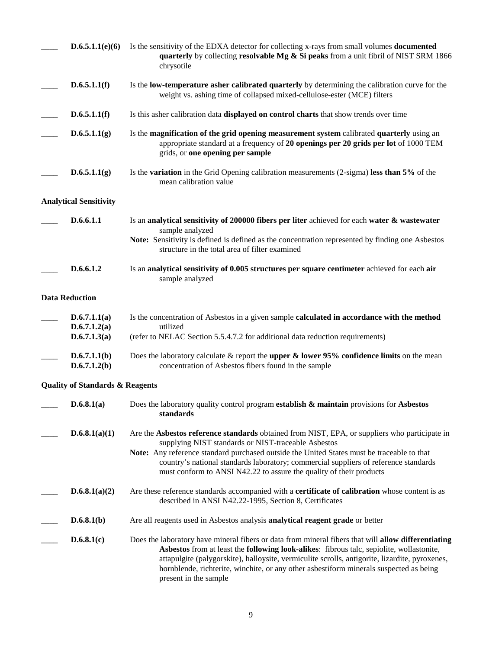| D.6.5.1.1(e)(6)                              | Is the sensitivity of the EDXA detector for collecting x-rays from small volumes <b>documented</b><br>quarterly by collecting resolvable Mg & Si peaks from a unit fibril of NIST SRM 1866<br>chrysotile                                                                                                                                                                                                             |
|----------------------------------------------|----------------------------------------------------------------------------------------------------------------------------------------------------------------------------------------------------------------------------------------------------------------------------------------------------------------------------------------------------------------------------------------------------------------------|
| D.6.5.1.1(f)                                 | Is the low-temperature asher calibrated quarterly by determining the calibration curve for the<br>weight vs. ashing time of collapsed mixed-cellulose-ester (MCE) filters                                                                                                                                                                                                                                            |
| D.6.5.1.1(f)                                 | Is this asher calibration data displayed on control charts that show trends over time                                                                                                                                                                                                                                                                                                                                |
| D.6.5.1.1(g)                                 | Is the magnification of the grid opening measurement system calibrated quarterly using an<br>appropriate standard at a frequency of 20 openings per 20 grids per lot of 1000 TEM<br>grids, or one opening per sample                                                                                                                                                                                                 |
| D.6.5.1.1(g)                                 | Is the <b>variation</b> in the Grid Opening calibration measurements (2-sigma) less than 5% of the<br>mean calibration value                                                                                                                                                                                                                                                                                         |
| <b>Analytical Sensitivity</b>                |                                                                                                                                                                                                                                                                                                                                                                                                                      |
| D.6.6.1.1                                    | Is an analytical sensitivity of 200000 fibers per liter achieved for each water & wastewater<br>sample analyzed                                                                                                                                                                                                                                                                                                      |
|                                              | Note: Sensitivity is defined is defined as the concentration represented by finding one Asbestos<br>structure in the total area of filter examined                                                                                                                                                                                                                                                                   |
| D.6.6.1.2                                    | Is an analytical sensitivity of 0.005 structures per square centimeter achieved for each air<br>sample analyzed                                                                                                                                                                                                                                                                                                      |
| <b>Data Reduction</b>                        |                                                                                                                                                                                                                                                                                                                                                                                                                      |
| D.6.7.1.1(a)<br>D.6.7.1.2(a)<br>D.6.7.1.3(a) | Is the concentration of Asbestos in a given sample <b>calculated in accordance with the method</b><br>utilized<br>(refer to NELAC Section 5.5.4.7.2 for additional data reduction requirements)                                                                                                                                                                                                                      |
| D.6.7.1.1(b)<br>D.6.7.1.2(b)                 | Does the laboratory calculate & report the upper & lower 95% confidence limits on the mean<br>concentration of Asbestos fibers found in the sample                                                                                                                                                                                                                                                                   |
| <b>Quality of Standards &amp; Reagents</b>   |                                                                                                                                                                                                                                                                                                                                                                                                                      |
| D.6.8.1(a)                                   | Does the laboratory quality control program establish $\&$ maintain provisions for Asbestos<br>standards                                                                                                                                                                                                                                                                                                             |
| D.6.8.1(a)(1)                                | Are the Asbestos reference standards obtained from NIST, EPA, or suppliers who participate in<br>supplying NIST standards or NIST-traceable Asbestos<br>Note: Any reference standard purchased outside the United States must be traceable to that<br>country's national standards laboratory; commercial suppliers of reference standards<br>must conform to ANSI N42.22 to assure the quality of their products    |
| D.6.8.1(a)(2)                                | Are these reference standards accompanied with a <b>certificate of calibration</b> whose content is as<br>described in ANSI N42.22-1995, Section 8, Certificates                                                                                                                                                                                                                                                     |
| D.6.8.1(b)                                   | Are all reagents used in Asbestos analysis analytical reagent grade or better                                                                                                                                                                                                                                                                                                                                        |
| D.6.8.1(c)                                   | Does the laboratory have mineral fibers or data from mineral fibers that will allow differentiating<br>Asbestos from at least the following look-alikes: fibrous talc, sepiolite, wollastonite,<br>attapulgite (palygorskite), halloysite, vermiculite scrolls, antigorite, lizardite, pyroxenes,<br>hornblende, richterite, winchite, or any other asbestiform minerals suspected as being<br>present in the sample |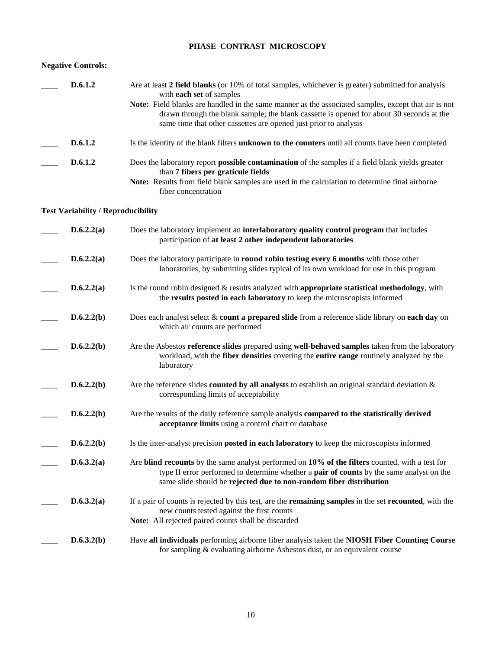## **PHASE CONTRAST MICROSCOPY**

### **Negative Controls:**

| D.6.1.2                                   | Are at least 2 field blanks (or 10% of total samples, whichever is greater) submitted for analysis<br>with each set of samples                                                                                                                                      |
|-------------------------------------------|---------------------------------------------------------------------------------------------------------------------------------------------------------------------------------------------------------------------------------------------------------------------|
|                                           | Note: Field blanks are handled in the same manner as the associated samples, except that air is not<br>drawn through the blank sample; the blank cassette is opened for about 30 seconds at the<br>same time that other cassettes are opened just prior to analysis |
|                                           |                                                                                                                                                                                                                                                                     |
| D.6.1.2                                   | Is the identity of the blank filters unknown to the counters until all counts have been completed                                                                                                                                                                   |
| D.6.1.2                                   | Does the laboratory report possible contamination of the samples if a field blank yields greater<br>than 7 fibers per graticule fields                                                                                                                              |
|                                           | Note: Results from field blank samples are used in the calculation to determine final airborne<br>fiber concentration                                                                                                                                               |
| <b>Test Variability / Reproducibility</b> |                                                                                                                                                                                                                                                                     |
| D.6.2.2(a)                                | Does the laboratory implement an interlaboratory quality control program that includes<br>participation of at least 2 other independent laboratories                                                                                                                |
| D.6.2.2(a)                                | Does the laboratory participate in round robin testing every 6 months with those other<br>laboratories, by submitting slides typical of its own workload for use in this program                                                                                    |
| D.6.2.2(a)                                | Is the round robin designed $\&$ results analyzed with appropriate statistical methodology, with<br>the results posted in each laboratory to keep the microscopists informed                                                                                        |
| D.6.2.2(b)                                | Does each analyst select & count a prepared slide from a reference slide library on each day on<br>which air counts are performed                                                                                                                                   |
| D.6.2.2(b)                                | Are the Asbestos reference slides prepared using well-behaved samples taken from the laboratory<br>workload, with the fiber densities covering the entire range routinely analyzed by the<br>laboratory                                                             |
| D.6.2.2(b)                                | Are the reference slides <b>counted by all analysts</b> to establish an original standard deviation $\&$<br>corresponding limits of acceptability                                                                                                                   |
| D.6.2.2(b)                                | Are the results of the daily reference sample analysis compared to the statistically derived<br>acceptance limits using a control chart or database                                                                                                                 |
| D.6.2.2(b)                                | Is the inter-analyst precision posted in each laboratory to keep the microscopists informed                                                                                                                                                                         |
| D.6.3.2(a)                                | Are blind recounts by the same analyst performed on 10% of the filters counted, with a test for<br>type II error performed to determine whether a pair of counts by the same analyst on the<br>same slide should be rejected due to non-random fiber distribution   |
| D.6.3.2(a)                                | If a pair of counts is rejected by this test, are the <b>remaining samples</b> in the set <b>recounted</b> , with the<br>new counts tested against the first counts<br>Note: All rejected paired counts shall be discarded                                          |
| D.6.3.2(b)                                | Have all individuals performing airborne fiber analysis taken the NIOSH Fiber Counting Course<br>for sampling & evaluating airborne Asbestos dust, or an equivalent course                                                                                          |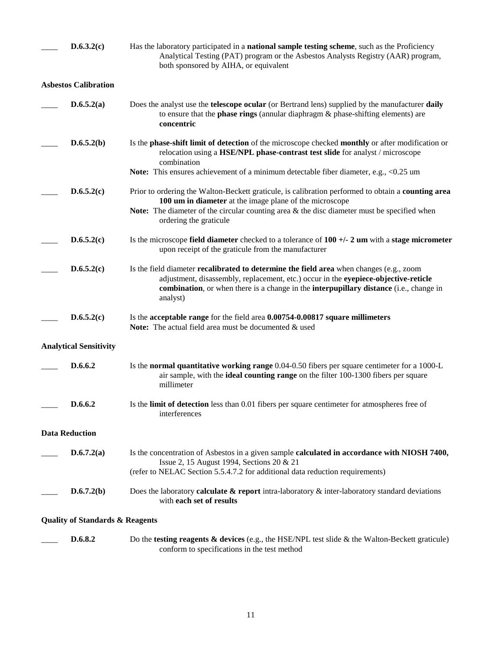| D.6.3.2(c)                                 | Has the laboratory participated in a <b>national sample testing scheme</b> , such as the Proficiency<br>Analytical Testing (PAT) program or the Asbestos Analysts Registry (AAR) program,<br>both sponsored by AIHA, or equivalent                                                          |
|--------------------------------------------|---------------------------------------------------------------------------------------------------------------------------------------------------------------------------------------------------------------------------------------------------------------------------------------------|
| <b>Asbestos Calibration</b>                |                                                                                                                                                                                                                                                                                             |
| D.6.5.2(a)                                 | Does the analyst use the telescope ocular (or Bertrand lens) supplied by the manufacturer daily<br>to ensure that the <b>phase rings</b> (annular diaphragm $\&$ phase-shifting elements) are<br>concentric                                                                                 |
| D.6.5.2(b)                                 | Is the phase-shift limit of detection of the microscope checked monthly or after modification or<br>relocation using a HSE/NPL phase-contrast test slide for analyst / microscope<br>combination                                                                                            |
|                                            | <b>Note:</b> This ensures achievement of a minimum detectable fiber diameter, e.g., <0.25 um                                                                                                                                                                                                |
| D.6.5.2(c)                                 | Prior to ordering the Walton-Beckett graticule, is calibration performed to obtain a counting area<br>100 um in diameter at the image plane of the microscope                                                                                                                               |
|                                            | <b>Note:</b> The diameter of the circular counting area $\&$ the disc diameter must be specified when<br>ordering the graticule                                                                                                                                                             |
| D.6.5.2(c)                                 | Is the microscope field diameter checked to a tolerance of $100 +/- 2$ um with a stage micrometer<br>upon receipt of the graticule from the manufacturer                                                                                                                                    |
| D.6.5.2(c)                                 | Is the field diameter <b>recalibrated to determine the field area</b> when changes (e.g., zoom<br>adjustment, disassembly, replacement, etc.) occur in the eyepiece-objective-reticle<br>combination, or when there is a change in the interpupillary distance (i.e., change in<br>analyst) |
| D.6.5.2(c)                                 | Is the acceptable range for the field area 0.00754-0.00817 square millimeters<br><b>Note:</b> The actual field area must be documented & used                                                                                                                                               |
| <b>Analytical Sensitivity</b>              |                                                                                                                                                                                                                                                                                             |
| D.6.6.2                                    | Is the <b>normal quantitative working range</b> 0.04-0.50 fibers per square centimeter for a 1000-L<br>air sample, with the <b>ideal counting range</b> on the filter 100-1300 fibers per square<br>millimeter                                                                              |
| D.6.6.2                                    | Is the limit of detection less than 0.01 fibers per square centimeter for atmospheres free of<br>interferences                                                                                                                                                                              |
| <b>Data Reduction</b>                      |                                                                                                                                                                                                                                                                                             |
| D.6.7.2(a)                                 | Is the concentration of Asbestos in a given sample calculated in accordance with NIOSH 7400,<br>Issue 2, 15 August 1994, Sections 20 & 21<br>(refer to NELAC Section 5.5.4.7.2 for additional data reduction requirements)                                                                  |
| D.6.7.2(b)                                 | Does the laboratory <b>calculate &amp; report</b> intra-laboratory $\&$ inter-laboratory standard deviations<br>with each set of results                                                                                                                                                    |
| <b>Quality of Standards &amp; Reagents</b> |                                                                                                                                                                                                                                                                                             |
| D.6.8.2                                    | Do the testing reagents $\&$ devices (e.g., the HSE/NPL test slide $\&$ the Walton-Beckett graticule)                                                                                                                                                                                       |

conform to specifications in the test method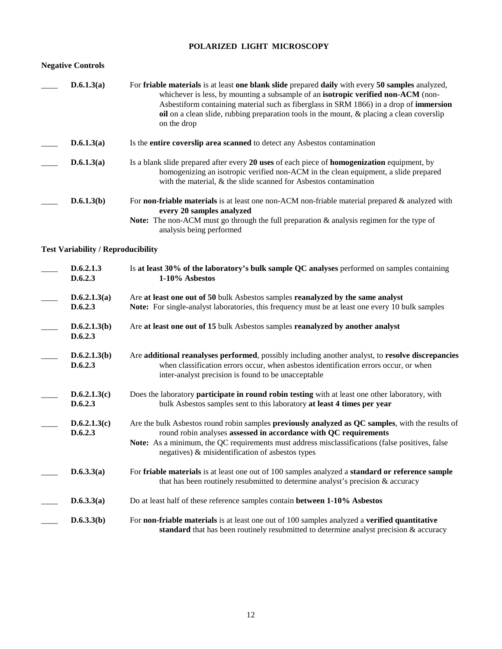## **POLARIZED LIGHT MICROSCOPY**

## **Negative Controls**

| D.6.1.3(a) | For friable materials is at least one blank slide prepared daily with every 50 samples analyzed,<br>whichever is less, by mounting a subsample of an <b>isotropic verified non-ACM</b> (non-<br>Asbestiform containing material such as fiberglass in SRM 1866) in a drop of <b>immersion</b><br>oil on a clean slide, rubbing preparation tools in the mount, $\&$ placing a clean coversily<br>on the drop |
|------------|--------------------------------------------------------------------------------------------------------------------------------------------------------------------------------------------------------------------------------------------------------------------------------------------------------------------------------------------------------------------------------------------------------------|
| D.6.1.3(a) | Is the <b>entire coversity area scanned</b> to detect any Asbestos contamination                                                                                                                                                                                                                                                                                                                             |
| D.6.1.3(a) | Is a blank slide prepared after every 20 uses of each piece of <b>homogenization</b> equipment, by<br>homogenizing an isotropic verified non-ACM in the clean equipment, a slide prepared<br>with the material, & the slide scanned for Asbestos contamination                                                                                                                                               |
| D.6.1.3(b) | For <b>non-friable materials</b> is at least one non-ACM non-friable material prepared $\&$ analyzed with<br>every 20 samples analyzed<br><b>Note:</b> The non-ACM must go through the full preparation & analysis regimen for the type of<br>analysis being performed                                                                                                                                       |

## **Test Variability / Reproducibility**

| D.6.2.1.3<br>D.6.2.3    | Is at least 30% of the laboratory's bulk sample QC analyses performed on samples containing<br>1-10% Asbestos                                                                                                                                                                                                               |
|-------------------------|-----------------------------------------------------------------------------------------------------------------------------------------------------------------------------------------------------------------------------------------------------------------------------------------------------------------------------|
| D.6.2.1.3(a)<br>D.6.2.3 | Are at least one out of 50 bulk Asbestos samples reanalyzed by the same analyst<br>Note: For single-analyst laboratories, this frequency must be at least one every 10 bulk samples                                                                                                                                         |
| D.6.2.1.3(b)<br>D.6.2.3 | Are at least one out of 15 bulk Asbestos samples reanalyzed by another analyst                                                                                                                                                                                                                                              |
| D.6.2.1.3(b)<br>D.6.2.3 | Are additional reanalyses performed, possibly including another analyst, to resolve discrepancies<br>when classification errors occur, when asbestos identification errors occur, or when<br>inter-analyst precision is found to be unacceptable                                                                            |
| D.6.2.1.3(c)<br>D.6.2.3 | Does the laboratory <b>participate in round robin testing</b> with at least one other laboratory, with<br>bulk Asbestos samples sent to this laboratory at least 4 times per year                                                                                                                                           |
| D.6.2.1.3(c)<br>D.6.2.3 | Are the bulk Asbestos round robin samples previously analyzed as QC samples, with the results of<br>round robin analyses assessed in accordance with QC requirements<br>Note: As a minimum, the QC requirements must address misclassifications (false positives, false<br>negatives) & misidentification of asbestos types |
| D.6.3.3(a)              | For friable materials is at least one out of 100 samples analyzed a standard or reference sample<br>that has been routinely resubmitted to determine analyst's precision & accuracy                                                                                                                                         |
| D.6.3.3(a)              | Do at least half of these reference samples contain between 1-10% Asbestos                                                                                                                                                                                                                                                  |
| D.6.3.3(b)              | For <b>non-friable materials</b> is at least one out of 100 samples analyzed a <b>verified quantitative</b><br>standard that has been routinely resubmitted to determine analyst precision $\&$ accuracy                                                                                                                    |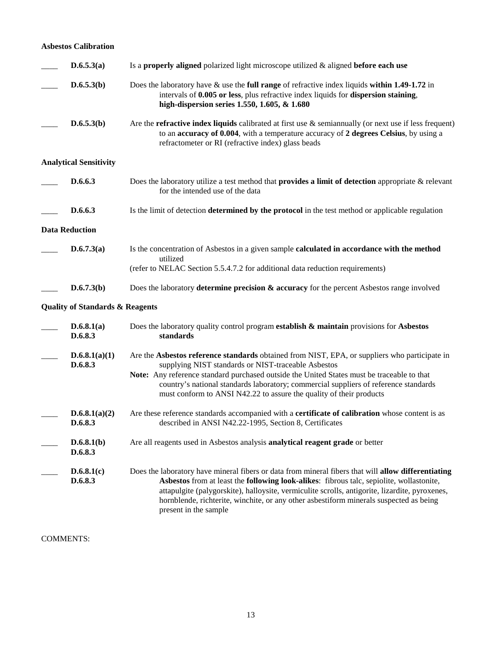### **Asbestos Calibration**

| D.6.5.3(a)                                 | Is a properly aligned polarized light microscope utilized $\&$ aligned before each use                                                                                                                                                                                                                                                                                                                               |
|--------------------------------------------|----------------------------------------------------------------------------------------------------------------------------------------------------------------------------------------------------------------------------------------------------------------------------------------------------------------------------------------------------------------------------------------------------------------------|
| D.6.5.3(b)                                 | Does the laboratory have $\&$ use the full range of refractive index liquids within 1.49-1.72 in<br>intervals of 0.005 or less, plus refractive index liquids for dispersion staining,<br>high-dispersion series 1.550, 1.605, & 1.680                                                                                                                                                                               |
| D.6.5.3(b)                                 | Are the <b>refractive index liquids</b> calibrated at first use $\&$ semiannually (or next use if less frequent)<br>to an accuracy of 0.004, with a temperature accuracy of 2 degrees Celsius, by using a<br>refractometer or RI (refractive index) glass beads                                                                                                                                                      |
| <b>Analytical Sensitivity</b>              |                                                                                                                                                                                                                                                                                                                                                                                                                      |
| D.6.6.3                                    | Does the laboratory utilize a test method that <b>provides a limit of detection</b> appropriate & relevant<br>for the intended use of the data                                                                                                                                                                                                                                                                       |
| D.6.6.3                                    | Is the limit of detection <b>determined by the protocol</b> in the test method or applicable regulation                                                                                                                                                                                                                                                                                                              |
| <b>Data Reduction</b>                      |                                                                                                                                                                                                                                                                                                                                                                                                                      |
| D.6.7.3(a)                                 | Is the concentration of Asbestos in a given sample calculated in accordance with the method<br>utilized<br>(refer to NELAC Section 5.5.4.7.2 for additional data reduction requirements)                                                                                                                                                                                                                             |
| D.6.7.3(b)                                 | Does the laboratory determine precision $\&$ accuracy for the percent Asbestos range involved                                                                                                                                                                                                                                                                                                                        |
| <b>Quality of Standards &amp; Reagents</b> |                                                                                                                                                                                                                                                                                                                                                                                                                      |
| D.6.8.1(a)<br>D.6.8.3                      | Does the laboratory quality control program establish $\&$ maintain provisions for Asbestos<br>standards                                                                                                                                                                                                                                                                                                             |
| D.6.8.1(a)(1)<br>D.6.8.3                   | Are the Asbestos reference standards obtained from NIST, EPA, or suppliers who participate in<br>supplying NIST standards or NIST-traceable Asbestos<br>Note: Any reference standard purchased outside the United States must be traceable to that<br>country's national standards laboratory; commercial suppliers of reference standards<br>must conform to ANSI N42.22 to assure the quality of their products    |
| D.6.8.1(a)(2)<br>D.6.8.3                   | Are these reference standards accompanied with a <b>certificate of calibration</b> whose content is as<br>described in ANSI N42.22-1995, Section 8, Certificates                                                                                                                                                                                                                                                     |
| D.6.8.1(b)<br>D.6.8.3                      | Are all reagents used in Asbestos analysis analytical reagent grade or better                                                                                                                                                                                                                                                                                                                                        |
| D.6.8.1(c)<br>D.6.8.3                      | Does the laboratory have mineral fibers or data from mineral fibers that will allow differentiating<br>Asbestos from at least the following look-alikes: fibrous talc, sepiolite, wollastonite,<br>attapulgite (palygorskite), halloysite, vermiculite scrolls, antigorite, lizardite, pyroxenes,<br>hornblende, richterite, winchite, or any other asbestiform minerals suspected as being<br>present in the sample |

COMMENTS: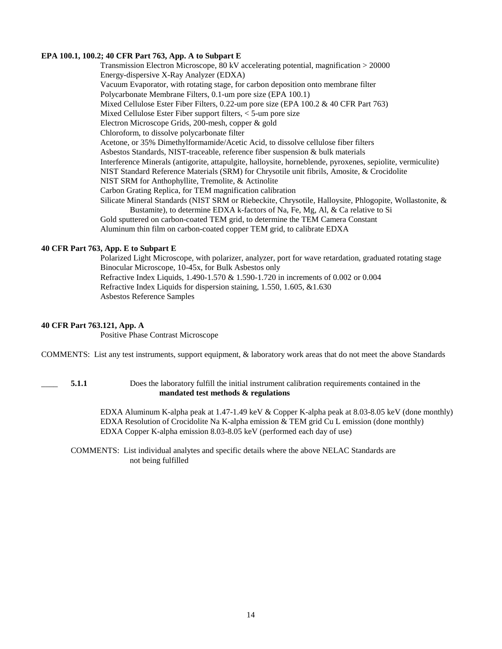#### **EPA 100.1, 100.2; 40 CFR Part 763, App. A to Subpart E**

 Transmission Electron Microscope, 80 kV accelerating potential, magnification > 20000 Energy-dispersive X-Ray Analyzer (EDXA) Vacuum Evaporator, with rotating stage, for carbon deposition onto membrane filter Polycarbonate Membrane Filters, 0.1-um pore size (EPA 100.1) Mixed Cellulose Ester Fiber Filters, 0.22-um pore size (EPA 100.2 & 40 CFR Part 763) Mixed Cellulose Ester Fiber support filters, < 5-um pore size Electron Microscope Grids, 200-mesh, copper & gold Chloroform, to dissolve polycarbonate filter Acetone, or 35% Dimethylformamide/Acetic Acid, to dissolve cellulose fiber filters Asbestos Standards, NIST-traceable, reference fiber suspension & bulk materials Interference Minerals (antigorite, attapulgite, halloysite, horneblende, pyroxenes, sepiolite, vermiculite) NIST Standard Reference Materials (SRM) for Chrysotile unit fibrils, Amosite, & Crocidolite NIST SRM for Anthophyllite, Tremolite, & Actinolite Carbon Grating Replica, for TEM magnification calibration Silicate Mineral Standards (NIST SRM or Riebeckite, Chrysotile, Halloysite, Phlogopite, Wollastonite, & Bustamite), to determine EDXA k-factors of Na, Fe, Mg, Al, & Ca relative to Si Gold sputtered on carbon-coated TEM grid, to determine the TEM Camera Constant Aluminum thin film on carbon-coated copper TEM grid, to calibrate EDXA

#### **40 CFR Part 763, App. E to Subpart E**

 Polarized Light Microscope, with polarizer, analyzer, port for wave retardation, graduated rotating stage Binocular Microscope, 10-45x, for Bulk Asbestos only Refractive Index Liquids, 1.490-1.570 & 1.590-1.720 in increments of 0.002 or 0.004 Refractive Index Liquids for dispersion staining, 1.550, 1.605, &1.630 Asbestos Reference Samples

#### **40 CFR Part 763.121, App. A**

Positive Phase Contrast Microscope

COMMENTS: List any test instruments, support equipment, & laboratory work areas that do not meet the above Standards

5.1.1 Does the laboratory fulfill the initial instrument calibration requirements contained in the **mandated test methods & regulations**

 EDXA Aluminum K-alpha peak at 1.47-1.49 keV & Copper K-alpha peak at 8.03-8.05 keV (done monthly) EDXA Resolution of Crocidolite Na K-alpha emission & TEM grid Cu L emission (done monthly) EDXA Copper K-alpha emission 8.03-8.05 keV (performed each day of use)

 COMMENTS: List individual analytes and specific details where the above NELAC Standards are not being fulfilled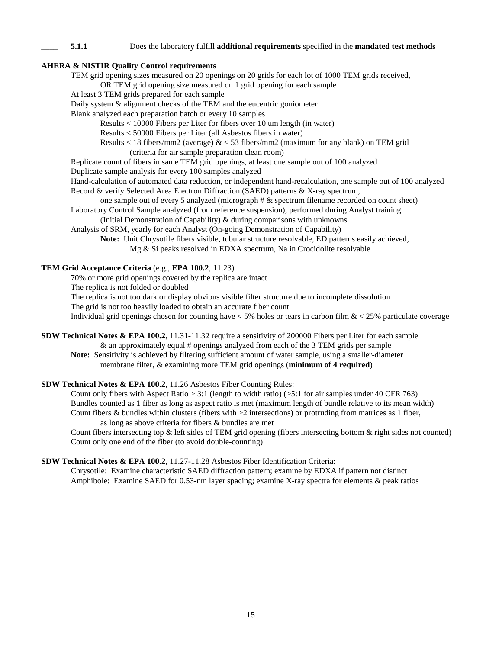#### \_\_\_\_ **5.1.1** Does the laboratory fulfill **additional requirements** specified in the **mandated test methods**

#### **AHERA & NISTIR Quality Control requirements**

TEM grid opening sizes measured on 20 openings on 20 grids for each lot of 1000 TEM grids received,

OR TEM grid opening size measured on 1 grid opening for each sample

At least 3 TEM grids prepared for each sample

Daily system & alignment checks of the TEM and the eucentric goniometer

Blank analyzed each preparation batch or every 10 samples

Results < 10000 Fibers per Liter for fibers over 10 um length (in water)

Results < 50000 Fibers per Liter (all Asbestos fibers in water)

Results  $\lt 18$  fibers/mm2 (average)  $\< 53$  fibers/mm2 (maximum for any blank) on TEM grid (criteria for air sample preparation clean room)

Replicate count of fibers in same TEM grid openings, at least one sample out of 100 analyzed

Duplicate sample analysis for every 100 samples analyzed

 Hand-calculation of automated data reduction, or independent hand-recalculation, one sample out of 100 analyzed Record & verify Selected Area Electron Diffraction (SAED) patterns & X-ray spectrum,

 one sample out of every 5 analyzed (micrograph # & spectrum filename recorded on count sheet) Laboratory Control Sample analyzed (from reference suspension), performed during Analyst training

(Initial Demonstration of Capability) & during comparisons with unknowns

Analysis of SRM, yearly for each Analyst (On-going Demonstration of Capability)

 **Note:** Unit Chrysotile fibers visible, tubular structure resolvable, ED patterns easily achieved, Mg & Si peaks resolved in EDXA spectrum, Na in Crocidolite resolvable

### **TEM Grid Acceptance Criteria** (e.g., **EPA 100.2**, 11.23)

70% or more grid openings covered by the replica are intact

The replica is not folded or doubled

The replica is not too dark or display obvious visible filter structure due to incomplete dissolution

The grid is not too heavily loaded to obtain an accurate fiber count

Individual grid openings chosen for counting have  $\lt 5\%$  holes or tears in carbon film  $\< 25\%$  particulate coverage

**SDW Technical Notes & EPA 100.2**, 11.31-11.32 require a sensitivity of 200000 Fibers per Liter for each sample & an approximately equal # openings analyzed from each of the 3 TEM grids per sample

**Note:** Sensitivity is achieved by filtering sufficient amount of water sample, using a smaller-diameter membrane filter, & examining more TEM grid openings (**minimum of 4 required**)

### **SDW Technical Notes & EPA 100.2**, 11.26 Asbestos Fiber Counting Rules:

Count only fibers with Aspect Ratio  $> 3:1$  (length to width ratio) ( $> 5:1$  for air samples under 40 CFR 763) Bundles counted as 1 fiber as long as aspect ratio is met (maximum length of bundle relative to its mean width) Count fibers & bundles within clusters (fibers with  $>2$  intersections) or protruding from matrices as 1 fiber, as long as above criteria for fibers & bundles are met

 Count fibers intersecting top & left sides of TEM grid opening (fibers intersecting bottom & right sides not counted) Count only one end of the fiber (to avoid double-counting)

### **SDW Technical Notes & EPA 100.2**, 11.27-11.28 Asbestos Fiber Identification Criteria:

 Chrysotile: Examine characteristic SAED diffraction pattern; examine by EDXA if pattern not distinct Amphibole: Examine SAED for 0.53-nm layer spacing; examine X-ray spectra for elements & peak ratios